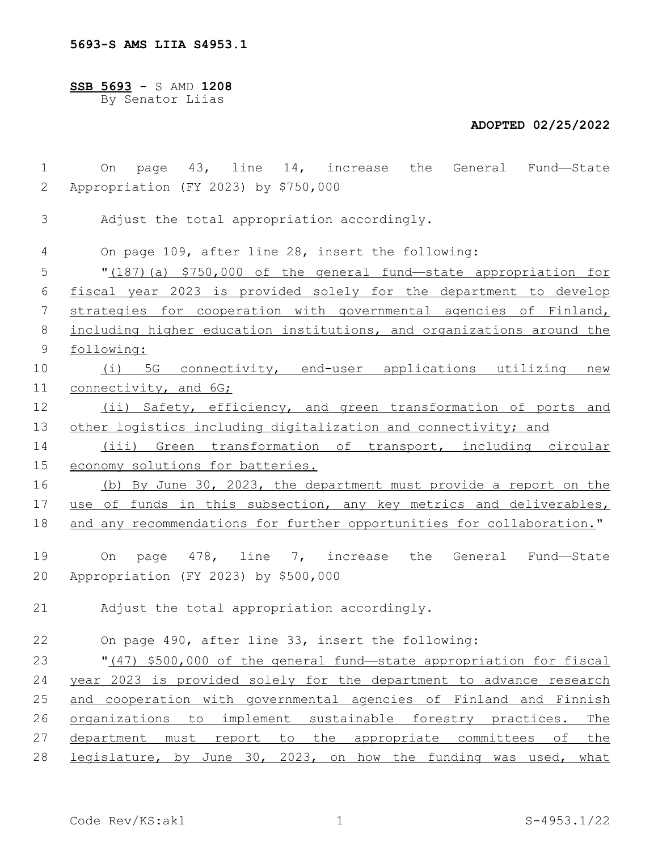**5693-S AMS LIIA S4953.1**

**SSB 5693** - S AMD **1208** By Senator Liias

## **ADOPTED 02/25/2022**

| $\mathbf 1$ | page 43, line 14, increase the General Fund-State<br>On                  |
|-------------|--------------------------------------------------------------------------|
| 2           | Appropriation (FY 2023) by \$750,000                                     |
| 3           | Adjust the total appropriation accordingly.                              |
| 4           | On page 109, after line 28, insert the following:                        |
| 5           | "(187) (a) \$750,000 of the general fund—state appropriation for         |
| 6           | fiscal year 2023 is provided solely for the department to develop        |
| 7           | strategies for cooperation with governmental agencies of Finland,        |
| 8           | including higher education institutions, and organizations around the    |
| 9           | following:                                                               |
| 10          | (i) 5G connectivity, end-user applications utilizing new                 |
| 11          | connectivity, and 6G;                                                    |
| 12          | (ii) Safety, efficiency, and green transformation of ports and           |
| 13          | other logistics including digitalization and connectivity; and           |
| 14          | (iii) Green transformation of transport, including circular              |
| 15          | economy solutions for batteries.                                         |
| 16          | (b) By June 30, 2023, the department must provide a report on the        |
| 17          | use of funds in this subsection, any key metrics and deliverables,       |
| 18          | and any recommendations for further opportunities for collaboration."    |
| 19          | page 478, line 7, increase the General Fund—State<br>On                  |
| 20          | Appropriation (FY 2023) by \$500,000                                     |
| 21          | Adjust the total appropriation accordingly.                              |
| 22          | On page 490, after line 33, insert the following:                        |
| 23          | "(47) \$500,000 of the general fund-state appropriation for fiscal       |
| 24          | year 2023 is provided solely for the department to advance research      |
| 25          | and cooperation with governmental agencies of Finland and Finnish        |
| 26          | organizations to implement sustainable forestry practices.<br><u>The</u> |
| 27          | department must report to the appropriate committees of the              |
| 28          | legislature, by June 30, 2023, on how the funding was used, what         |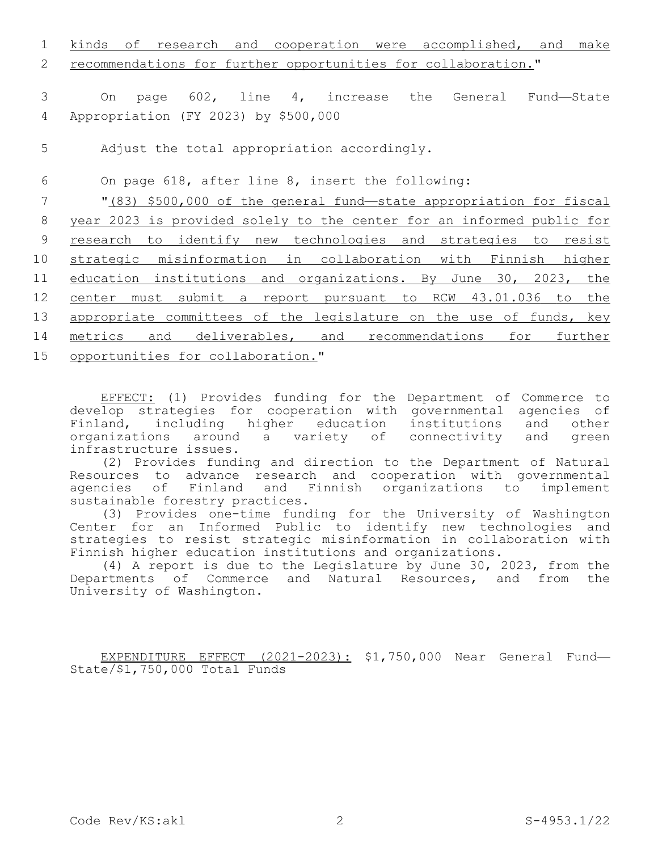1 kinds of research and cooperation were accomplished, and make recommendations for further opportunities for collaboration." On page 602, line 4, increase the General Fund—State Appropriation (FY 2023) by \$500,0004 5 Adjust the total appropriation accordingly. On page 618, after line 8, insert the following: "(83) \$500,000 of the general fund—state appropriation for fiscal year 2023 is provided solely to the center for an informed public for research to identify new technologies and strategies to resist strategic misinformation in collaboration with Finnish higher education institutions and organizations. By June 30, 2023, the center must submit a report pursuant to RCW 43.01.036 to the 13 appropriate committees of the legislature on the use of funds, key metrics and deliverables, and recommendations for further

15 opportunities for collaboration."

EFFECT: (1) Provides funding for the Department of Commerce to develop strategies for cooperation with governmental agencies of Finland, including higher education institutions and other<br>organizations around a variety of connectivity and green organizations around a variety of connectivity infrastructure issues.

(2) Provides funding and direction to the Department of Natural Resources to advance research and cooperation with governmental agencies of Finland and Finnish organizations to implement sustainable forestry practices.

(3) Provides one-time funding for the University of Washington Center for an Informed Public to identify new technologies and strategies to resist strategic misinformation in collaboration with Finnish higher education institutions and organizations.

(4) A report is due to the Legislature by June 30, 2023, from the Departments of Commerce and Natural Resources, and from the University of Washington.

EXPENDITURE EFFECT (2021-2023): \$1,750,000 Near General Fund— State/\$1,750,000 Total Funds